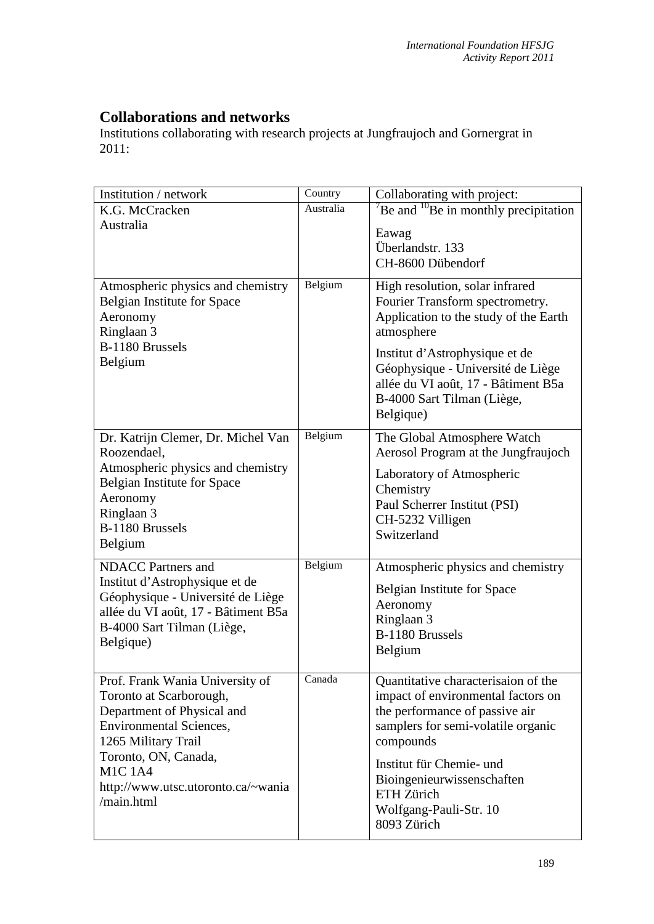## **Collaborations and networks**

Institutions collaborating with research projects at Jungfraujoch and Gornergrat in 2011:

| Institution / network                                                   | Country   | Collaborating with project:                                          |
|-------------------------------------------------------------------------|-----------|----------------------------------------------------------------------|
| K.G. McCracken<br>Australia                                             | Australia | $^{\prime}$ Be and $^{10}$ Be in monthly precipitation               |
|                                                                         |           | Eawag                                                                |
|                                                                         |           | Überlandstr. 133<br>CH-8600 Dübendorf                                |
|                                                                         |           |                                                                      |
| Atmospheric physics and chemistry<br><b>Belgian Institute for Space</b> | Belgium   | High resolution, solar infrared<br>Fourier Transform spectrometry.   |
| Aeronomy<br>Ringlaan 3                                                  |           | Application to the study of the Earth<br>atmosphere                  |
| B-1180 Brussels                                                         |           | Institut d'Astrophysique et de                                       |
| Belgium                                                                 |           | Géophysique - Université de Liège                                    |
|                                                                         |           | allée du VI août, 17 - Bâtiment B5a<br>B-4000 Sart Tilman (Liège,    |
|                                                                         |           | Belgique)                                                            |
| Dr. Katrijn Clemer, Dr. Michel Van                                      | Belgium   | The Global Atmosphere Watch                                          |
| Roozendael,<br>Atmospheric physics and chemistry                        |           | Aerosol Program at the Jungfraujoch                                  |
| <b>Belgian Institute for Space</b>                                      |           | Laboratory of Atmospheric<br>Chemistry                               |
| Aeronomy                                                                |           | Paul Scherrer Institut (PSI)                                         |
| Ringlaan 3<br>B-1180 Brussels                                           |           | CH-5232 Villigen                                                     |
| Belgium                                                                 |           | Switzerland                                                          |
| <b>NDACC</b> Partners and                                               | Belgium   | Atmospheric physics and chemistry                                    |
| Institut d'Astrophysique et de<br>Géophysique - Université de Liège     |           | <b>Belgian Institute for Space</b>                                   |
| allée du VI août, 17 - Bâtiment B5a                                     |           | Aeronomy                                                             |
| B-4000 Sart Tilman (Liège,                                              |           | Ringlaan 3<br>B-1180 Brussels                                        |
| Belgique)                                                               |           | Belgium                                                              |
| Prof. Frank Wania University of                                         | Canada    | Quantitative characterisaion of the                                  |
| Toronto at Scarborough,                                                 |           | impact of environmental factors on<br>the performance of passive air |
| Department of Physical and<br><b>Environmental Sciences,</b>            |           | samplers for semi-volatile organic                                   |
| 1265 Military Trail                                                     |           | compounds                                                            |
| Toronto, ON, Canada,<br><b>M1C1A4</b>                                   |           | Institut für Chemie- und                                             |
| http://www.utsc.utoronto.ca/~wania                                      |           | Bioingenieurwissenschaften                                           |
| /main.html                                                              |           | ETH Zürich<br>Wolfgang-Pauli-Str. 10                                 |
|                                                                         |           | 8093 Zürich                                                          |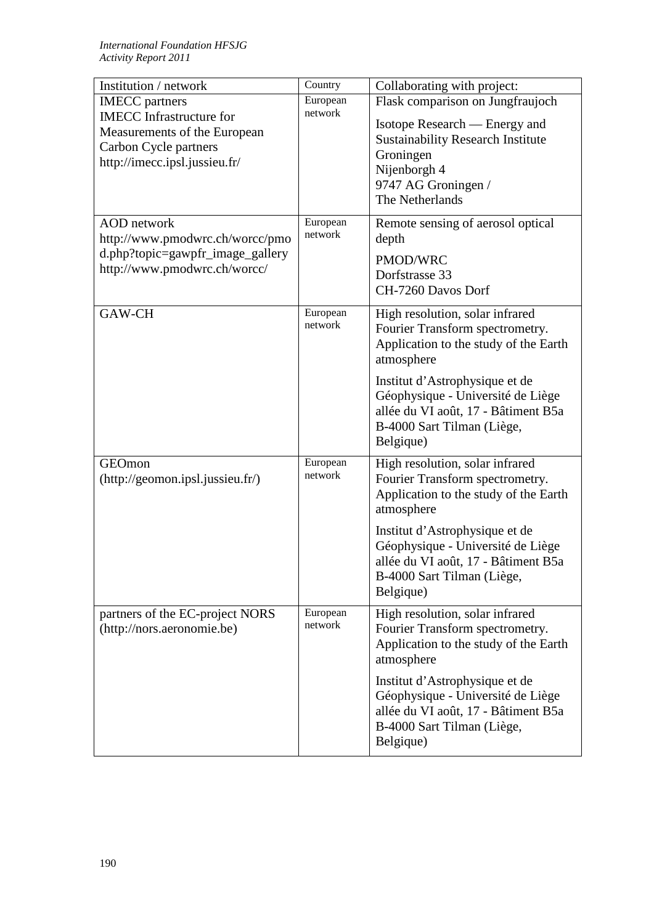| Institution / network                                                                                                                              | Country             | Collaborating with project:                                                                                                                                                                                                                                                        |
|----------------------------------------------------------------------------------------------------------------------------------------------------|---------------------|------------------------------------------------------------------------------------------------------------------------------------------------------------------------------------------------------------------------------------------------------------------------------------|
| <b>IMECC</b> partners<br><b>IMECC</b> Infrastructure for<br>Measurements of the European<br>Carbon Cycle partners<br>http://imecc.ipsl.jussieu.fr/ | European<br>network | Flask comparison on Jungfraujoch<br>Isotope Research — Energy and<br><b>Sustainability Research Institute</b><br>Groningen<br>Nijenborgh 4<br>9747 AG Groningen /<br>The Netherlands                                                                                               |
| <b>AOD</b> network<br>http://www.pmodwrc.ch/worcc/pmo<br>d.php?topic=gawpfr_image_gallery<br>http://www.pmodwrc.ch/worcc/                          | European<br>network | Remote sensing of aerosol optical<br>depth<br>PMOD/WRC<br>Dorfstrasse 33<br>CH-7260 Davos Dorf                                                                                                                                                                                     |
| GAW-CH                                                                                                                                             | European<br>network | High resolution, solar infrared<br>Fourier Transform spectrometry.<br>Application to the study of the Earth<br>atmosphere<br>Institut d'Astrophysique et de<br>Géophysique - Université de Liège<br>allée du VI août, 17 - Bâtiment B5a<br>B-4000 Sart Tilman (Liège,<br>Belgique) |
| GEOmon<br>(http://geomon.jpgl.jussieu.fr/)                                                                                                         | European<br>network | High resolution, solar infrared<br>Fourier Transform spectrometry.<br>Application to the study of the Earth<br>atmosphere<br>Institut d'Astrophysique et de<br>Géophysique - Université de Liège<br>allée du VI août, 17 - Bâtiment B5a<br>B-4000 Sart Tilman (Liège,<br>Belgique) |
| partners of the EC-project NORS<br>(http://nors.aeronomie.be)                                                                                      | European<br>network | High resolution, solar infrared<br>Fourier Transform spectrometry.<br>Application to the study of the Earth<br>atmosphere<br>Institut d'Astrophysique et de<br>Géophysique - Université de Liège<br>allée du VI août, 17 - Bâtiment B5a<br>B-4000 Sart Tilman (Liège,<br>Belgique) |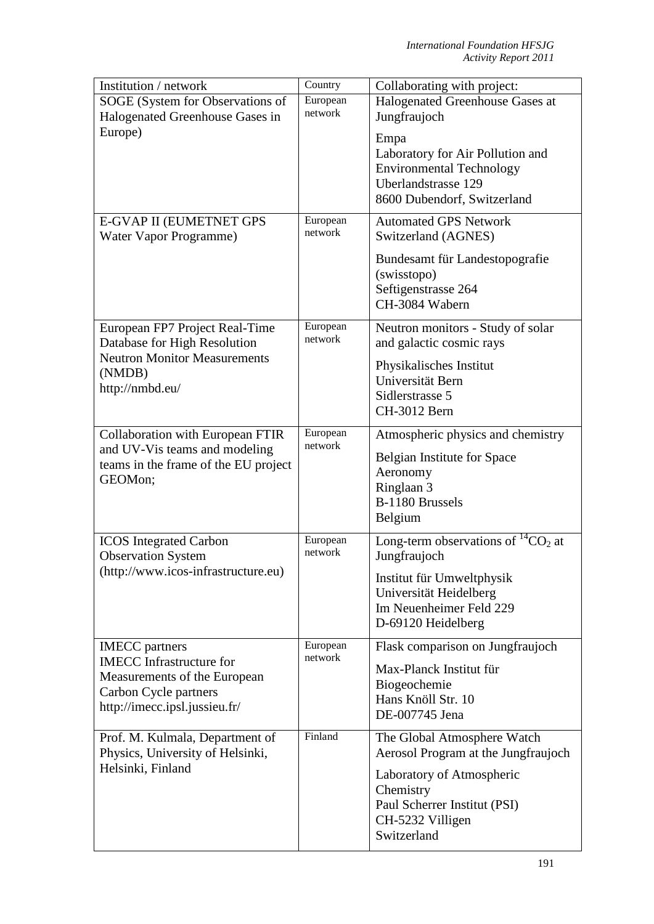| Institution / network                                                                                                                              | Country             | Collaborating with project:                                                                                                                                                     |
|----------------------------------------------------------------------------------------------------------------------------------------------------|---------------------|---------------------------------------------------------------------------------------------------------------------------------------------------------------------------------|
| SOGE (System for Observations of                                                                                                                   | European            | Halogenated Greenhouse Gases at                                                                                                                                                 |
| Halogenated Greenhouse Gases in                                                                                                                    | network             | Jungfraujoch                                                                                                                                                                    |
| Europe)                                                                                                                                            |                     | Empa<br>Laboratory for Air Pollution and<br><b>Environmental Technology</b><br>Uberlandstrasse 129<br>8600 Dubendorf, Switzerland                                               |
| E-GVAP II (EUMETNET GPS<br>Water Vapor Programme)                                                                                                  | European<br>network | <b>Automated GPS Network</b><br>Switzerland (AGNES)                                                                                                                             |
|                                                                                                                                                    |                     | Bundesamt für Landestopografie<br>(swisstopo)<br>Seftigenstrasse 264<br>CH-3084 Wabern                                                                                          |
| European FP7 Project Real-Time<br>Database for High Resolution                                                                                     | European<br>network | Neutron monitors - Study of solar<br>and galactic cosmic rays                                                                                                                   |
| <b>Neutron Monitor Measurements</b><br>(NMDB)<br>http://nmbd.eu/                                                                                   |                     | Physikalisches Institut<br>Universität Bern<br>Sidlerstrasse 5<br>CH-3012 Bern                                                                                                  |
| Collaboration with European FTIR                                                                                                                   | European<br>network | Atmospheric physics and chemistry                                                                                                                                               |
| and UV-Vis teams and modeling<br>teams in the frame of the EU project<br>GEOMon;                                                                   |                     | Belgian Institute for Space<br>Aeronomy<br>Ringlaan 3<br>B-1180 Brussels<br>Belgium                                                                                             |
| <b>ICOS</b> Integrated Carbon<br><b>Observation System</b>                                                                                         | European<br>network | Long-term observations of ${}^{14}CO_2$ at<br>Jungfraujoch                                                                                                                      |
| (http://www.icos-infrastructure.eu)                                                                                                                |                     | Institut für Umweltphysik<br>Universität Heidelberg<br>Im Neuenheimer Feld 229<br>D-69120 Heidelberg                                                                            |
| <b>IMECC</b> partners<br><b>IMECC</b> Infrastructure for<br>Measurements of the European<br>Carbon Cycle partners<br>http://imecc.ipsl.jussieu.fr/ | European<br>network | Flask comparison on Jungfraujoch<br>Max-Planck Institut für<br>Biogeochemie<br>Hans Knöll Str. 10<br>DE-007745 Jena                                                             |
| Prof. M. Kulmala, Department of<br>Physics, University of Helsinki,<br>Helsinki, Finland                                                           | Finland             | The Global Atmosphere Watch<br>Aerosol Program at the Jungfraujoch<br>Laboratory of Atmospheric<br>Chemistry<br>Paul Scherrer Institut (PSI)<br>CH-5232 Villigen<br>Switzerland |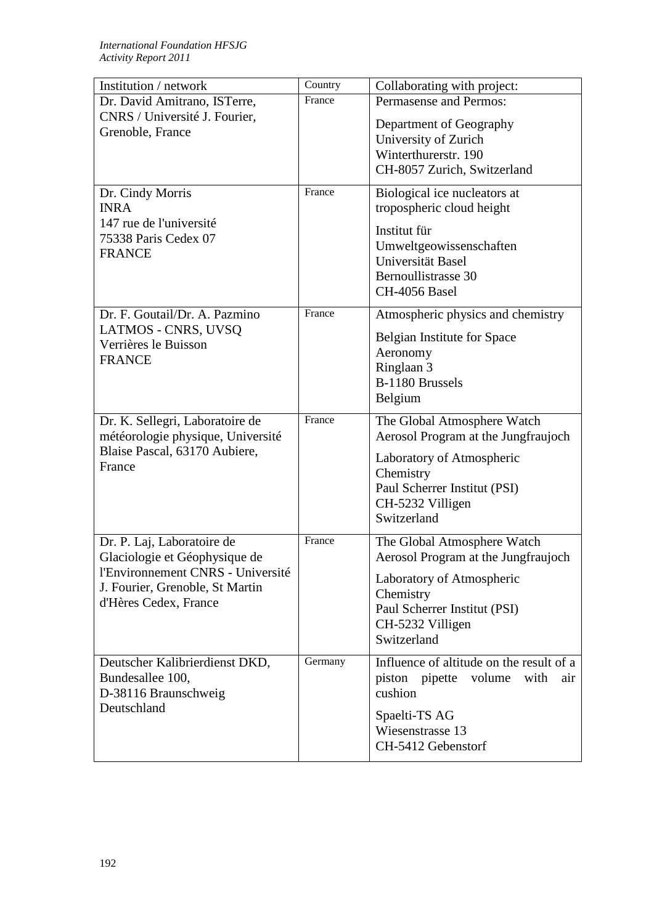| Institution / network                                                                                                                                        | Country | Collaborating with project:                                                                                                                                                     |
|--------------------------------------------------------------------------------------------------------------------------------------------------------------|---------|---------------------------------------------------------------------------------------------------------------------------------------------------------------------------------|
| Dr. David Amitrano, ISTerre,                                                                                                                                 | France  | Permasense and Permos:                                                                                                                                                          |
| CNRS / Université J. Fourier,<br>Grenoble, France                                                                                                            |         | Department of Geography<br>University of Zurich<br>Winterthurerstr. 190<br>CH-8057 Zurich, Switzerland                                                                          |
| Dr. Cindy Morris<br><b>INRA</b><br>147 rue de l'université<br>75338 Paris Cedex 07<br><b>FRANCE</b>                                                          | France  | Biological ice nucleators at<br>tropospheric cloud height<br>Institut für<br>Umweltgeowissenschaften<br>Universität Basel<br>Bernoullistrasse 30<br><b>CH-4056 Basel</b>        |
| Dr. F. Goutail/Dr. A. Pazmino<br>LATMOS - CNRS, UVSQ<br>Verrières le Buisson<br><b>FRANCE</b>                                                                | France  | Atmospheric physics and chemistry<br><b>Belgian Institute for Space</b><br>Aeronomy<br>Ringlaan 3<br>B-1180 Brussels<br>Belgium                                                 |
| Dr. K. Sellegri, Laboratoire de<br>météorologie physique, Université<br>Blaise Pascal, 63170 Aubiere,<br>France                                              | France  | The Global Atmosphere Watch<br>Aerosol Program at the Jungfraujoch<br>Laboratory of Atmospheric<br>Chemistry<br>Paul Scherrer Institut (PSI)<br>CH-5232 Villigen<br>Switzerland |
| Dr. P. Laj, Laboratoire de<br>Glaciologie et Géophysique de<br>l'Environnement CNRS - Université<br>J. Fourier, Grenoble, St Martin<br>d'Hères Cedex, France | France  | The Global Atmosphere Watch<br>Aerosol Program at the Jungfraujoch<br>Laboratory of Atmospheric<br>Chemistry<br>Paul Scherrer Institut (PSI)<br>CH-5232 Villigen<br>Switzerland |
| Deutscher Kalibrierdienst DKD,<br>Bundesallee 100,<br>D-38116 Braunschweig<br>Deutschland                                                                    | Germany | Influence of altitude on the result of $\overline{a}$<br>piston pipette<br>volume<br>with<br>air<br>cushion<br>Spaelti-TS AG<br>Wiesenstrasse 13<br>CH-5412 Gebenstorf          |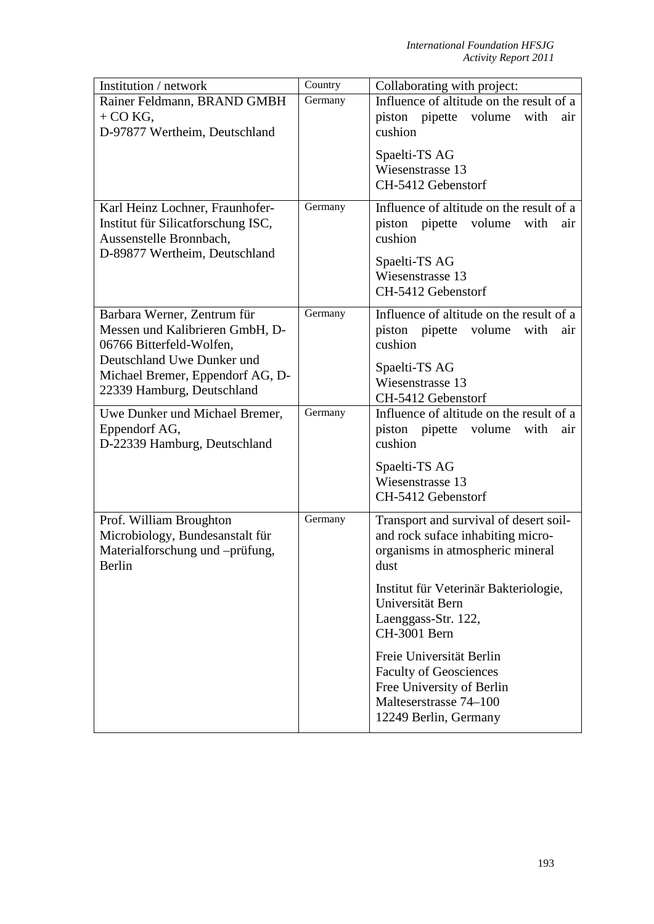| Institution / network                         | Country | Collaborating with project:                  |
|-----------------------------------------------|---------|----------------------------------------------|
| Rainer Feldmann, BRAND GMBH                   | Germany | Influence of altitude on the result of a     |
| $+$ CO KG,                                    |         | piston pipette volume<br>with<br>air         |
| D-97877 Wertheim, Deutschland                 |         | cushion                                      |
|                                               |         | Spaelti-TS AG                                |
|                                               |         | Wiesenstrasse 13                             |
|                                               |         | CH-5412 Gebenstorf                           |
|                                               |         |                                              |
| Karl Heinz Lochner, Fraunhofer-               | Germany | Influence of altitude on the result of a     |
| Institut für Silicatforschung ISC,            |         | piston pipette<br>volume<br>with<br>air      |
| Aussenstelle Bronnbach,                       |         | cushion                                      |
| D-89877 Wertheim, Deutschland                 |         | Spaelti-TS AG                                |
|                                               |         | Wiesenstrasse 13                             |
|                                               |         | CH-5412 Gebenstorf                           |
| Barbara Werner, Zentrum für                   | Germany | Influence of altitude on the result of a     |
| Messen und Kalibrieren GmbH, D-               |         | piston pipette volume<br>with<br>air         |
| 06766 Bitterfeld-Wolfen,                      |         | cushion                                      |
| Deutschland Uwe Dunker und                    |         |                                              |
| Michael Bremer, Eppendorf AG, D-              |         | Spaelti-TS AG                                |
| 22339 Hamburg, Deutschland                    |         | Wiesenstrasse 13                             |
|                                               |         | CH-5412 Gebenstorf                           |
| Uwe Dunker und Michael Bremer,                | Germany | Influence of altitude on the result of a     |
| Eppendorf AG,<br>D-22339 Hamburg, Deutschland |         | piston pipette volume with<br>air<br>cushion |
|                                               |         |                                              |
|                                               |         | Spaelti-TS AG                                |
|                                               |         | Wiesenstrasse 13                             |
|                                               |         | CH-5412 Gebenstorf                           |
| Prof. William Broughton                       | Germany | Transport and survival of desert soil-       |
| Microbiology, Bundesanstalt für               |         | and rock suface inhabiting micro-            |
| Materialforschung und -prüfung,               |         | organisms in atmospheric mineral             |
| Berlin                                        |         | dust                                         |
|                                               |         | Institut für Veterinär Bakteriologie,        |
|                                               |         | Universität Bern                             |
|                                               |         | Laenggass-Str. 122,                          |
|                                               |         | CH-3001 Bern                                 |
|                                               |         | Freie Universität Berlin                     |
|                                               |         | <b>Faculty of Geosciences</b>                |
|                                               |         | Free University of Berlin                    |
|                                               |         | Malteserstrasse 74–100                       |
|                                               |         | 12249 Berlin, Germany                        |
|                                               |         |                                              |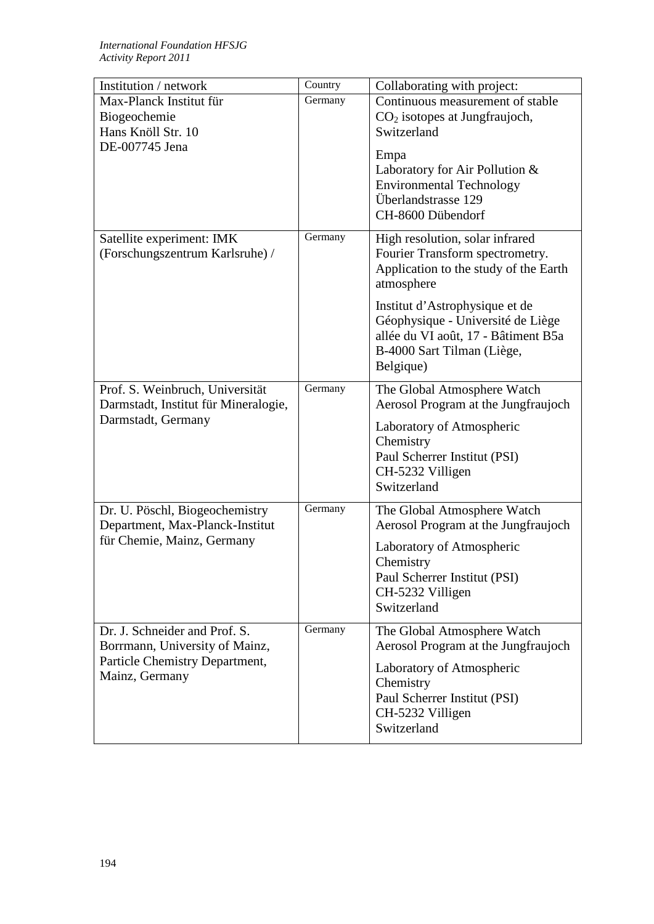| Institution / network                                      | Country | Collaborating with project:            |
|------------------------------------------------------------|---------|----------------------------------------|
| Max-Planck Institut für                                    | Germany | Continuous measurement of stable       |
| Biogeochemie                                               |         | $CO2$ isotopes at Jungfraujoch,        |
| Hans Knöll Str. 10                                         |         | Switzerland                            |
| DE-007745 Jena                                             |         |                                        |
|                                                            |         | Empa<br>Laboratory for Air Pollution & |
|                                                            |         | <b>Environmental Technology</b>        |
|                                                            |         | Überlandstrasse 129                    |
|                                                            |         | CH-8600 Dübendorf                      |
|                                                            |         |                                        |
| Satellite experiment: IMK                                  | Germany | High resolution, solar infrared        |
| (Forschungszentrum Karlsruhe) /                            |         | Fourier Transform spectrometry.        |
|                                                            |         | Application to the study of the Earth  |
|                                                            |         | atmosphere                             |
|                                                            |         | Institut d'Astrophysique et de         |
|                                                            |         | Géophysique - Université de Liège      |
|                                                            |         | allée du VI août, 17 - Bâtiment B5a    |
|                                                            |         | B-4000 Sart Tilman (Liège,             |
|                                                            |         | Belgique)                              |
|                                                            |         |                                        |
| Prof. S. Weinbruch, Universität                            | Germany | The Global Atmosphere Watch            |
| Darmstadt, Institut für Mineralogie,<br>Darmstadt, Germany |         | Aerosol Program at the Jungfraujoch    |
|                                                            |         | Laboratory of Atmospheric              |
|                                                            |         | Chemistry                              |
|                                                            |         | Paul Scherrer Institut (PSI)           |
|                                                            |         | CH-5232 Villigen                       |
|                                                            |         | Switzerland                            |
| Dr. U. Pöschl, Biogeochemistry                             | Germany | The Global Atmosphere Watch            |
| Department, Max-Planck-Institut                            |         | Aerosol Program at the Jungfraujoch    |
| für Chemie, Mainz, Germany                                 |         | Laboratory of Atmospheric              |
|                                                            |         | Chemistry                              |
|                                                            |         | Paul Scherrer Institut (PSI)           |
|                                                            |         | CH-5232 Villigen                       |
|                                                            |         | Switzerland                            |
|                                                            |         |                                        |
| Dr. J. Schneider and Prof. S.                              | Germany | The Global Atmosphere Watch            |
| Borrmann, University of Mainz,                             |         | Aerosol Program at the Jungfraujoch    |
| Particle Chemistry Department,                             |         | Laboratory of Atmospheric              |
| Mainz, Germany                                             |         | Chemistry                              |
|                                                            |         | Paul Scherrer Institut (PSI)           |
|                                                            |         | CH-5232 Villigen                       |
|                                                            |         | Switzerland                            |
|                                                            |         |                                        |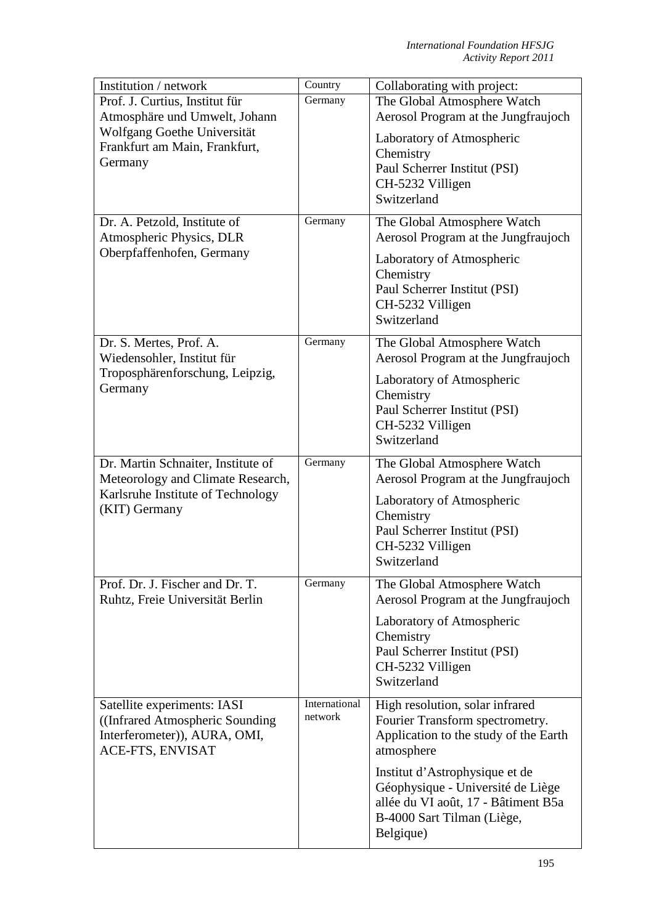| Institution / network                                 | Country       | Collaborating with project:                                        |
|-------------------------------------------------------|---------------|--------------------------------------------------------------------|
| Prof. J. Curtius, Institut für                        | Germany       | The Global Atmosphere Watch                                        |
| Atmosphäre und Umwelt, Johann                         |               | Aerosol Program at the Jungfraujoch                                |
| Wolfgang Goethe Universität                           |               | Laboratory of Atmospheric                                          |
| Frankfurt am Main, Frankfurt,                         |               | Chemistry                                                          |
| Germany                                               |               | Paul Scherrer Institut (PSI)                                       |
|                                                       |               | CH-5232 Villigen                                                   |
|                                                       |               | Switzerland                                                        |
|                                                       |               |                                                                    |
| Dr. A. Petzold, Institute of                          | Germany       | The Global Atmosphere Watch                                        |
| Atmospheric Physics, DLR                              |               | Aerosol Program at the Jungfraujoch                                |
| Oberpfaffenhofen, Germany                             |               | Laboratory of Atmospheric                                          |
|                                                       |               | Chemistry                                                          |
|                                                       |               | Paul Scherrer Institut (PSI)                                       |
|                                                       |               | CH-5232 Villigen                                                   |
|                                                       |               | Switzerland                                                        |
|                                                       |               |                                                                    |
| Dr. S. Mertes, Prof. A.<br>Wiedensohler, Institut für | Germany       | The Global Atmosphere Watch<br>Aerosol Program at the Jungfraujoch |
| Troposphärenforschung, Leipzig,<br>Germany            |               | Laboratory of Atmospheric                                          |
|                                                       |               | Chemistry                                                          |
|                                                       |               | Paul Scherrer Institut (PSI)                                       |
|                                                       |               | CH-5232 Villigen                                                   |
|                                                       |               | Switzerland                                                        |
| Dr. Martin Schnaiter, Institute of                    | Germany       | The Global Atmosphere Watch                                        |
| Meteorology and Climate Research,                     |               | Aerosol Program at the Jungfraujoch                                |
| Karlsruhe Institute of Technology                     |               | Laboratory of Atmospheric                                          |
| (KIT) Germany                                         |               | Chemistry                                                          |
|                                                       |               | Paul Scherrer Institut (PSI)                                       |
|                                                       |               | CH-5232 Villigen                                                   |
|                                                       |               | Switzerland                                                        |
| Prof. Dr. J. Fischer and Dr. T.                       | Germany       | The Global Atmosphere Watch                                        |
| Ruhtz, Freie Universität Berlin                       |               | Aerosol Program at the Jungfraujoch                                |
|                                                       |               | Laboratory of Atmospheric                                          |
|                                                       |               | Chemistry                                                          |
|                                                       |               | Paul Scherrer Institut (PSI)                                       |
|                                                       |               | CH-5232 Villigen                                                   |
|                                                       |               | Switzerland                                                        |
|                                                       | International |                                                                    |
| Satellite experiments: IASI                           | network       | High resolution, solar infrared                                    |
| ((Infrared Atmospheric Sounding)                      |               | Fourier Transform spectrometry.                                    |
| Interferometer)), AURA, OMI,<br>ACE-FTS, ENVISAT      |               | Application to the study of the Earth<br>atmosphere                |
|                                                       |               |                                                                    |
|                                                       |               | Institut d'Astrophysique et de                                     |
|                                                       |               | Géophysique - Université de Liège                                  |
|                                                       |               | allée du VI août, 17 - Bâtiment B5a                                |
|                                                       |               | B-4000 Sart Tilman (Liège,                                         |
|                                                       |               | Belgique)                                                          |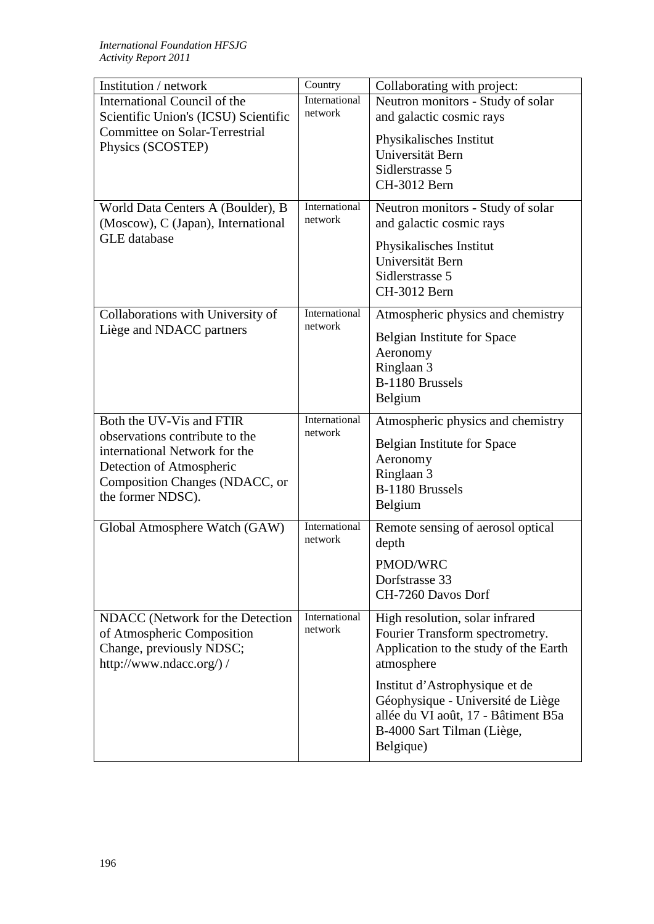| Institution / network                | Country       | Collaborating with project:                 |
|--------------------------------------|---------------|---------------------------------------------|
| International Council of the         | International | Neutron monitors - Study of solar           |
| Scientific Union's (ICSU) Scientific | network       | and galactic cosmic rays                    |
| Committee on Solar-Terrestrial       |               |                                             |
| Physics (SCOSTEP)                    |               | Physikalisches Institut<br>Universität Bern |
|                                      |               |                                             |
|                                      |               | Sidlerstrasse 5                             |
|                                      |               | CH-3012 Bern                                |
| World Data Centers A (Boulder), B    | International | Neutron monitors - Study of solar           |
| (Moscow), C (Japan), International   | network       | and galactic cosmic rays                    |
| <b>GLE</b> database                  |               |                                             |
|                                      |               | Physikalisches Institut                     |
|                                      |               | Universität Bern                            |
|                                      |               | Sidlerstrasse 5                             |
|                                      |               | CH-3012 Bern                                |
| Collaborations with University of    | International | Atmospheric physics and chemistry           |
| Liège and NDACC partners             | network       |                                             |
|                                      |               | Belgian Institute for Space                 |
|                                      |               | Aeronomy                                    |
|                                      |               | Ringlaan 3                                  |
|                                      |               | B-1180 Brussels                             |
|                                      |               | Belgium                                     |
| Both the UV-Vis and FTIR             | International | Atmospheric physics and chemistry           |
| observations contribute to the       | network       |                                             |
| international Network for the        |               | Belgian Institute for Space                 |
| Detection of Atmospheric             |               | Aeronomy                                    |
| Composition Changes (NDACC, or       |               | Ringlaan 3                                  |
| the former NDSC).                    |               | B-1180 Brussels                             |
|                                      |               | Belgium                                     |
| Global Atmosphere Watch (GAW)        | International | Remote sensing of aerosol optical           |
|                                      | network       | depth                                       |
|                                      |               | PMOD/WRC                                    |
|                                      |               | Dorfstrasse 33                              |
|                                      |               | CH-7260 Davos Dorf                          |
|                                      |               |                                             |
| NDACC (Network for the Detection     | International | High resolution, solar infrared             |
| of Atmospheric Composition           | network       | Fourier Transform spectrometry.             |
| Change, previously NDSC;             |               | Application to the study of the Earth       |
| http://www.ndacc.org/)/              |               | atmosphere                                  |
|                                      |               | Institut d'Astrophysique et de              |
|                                      |               | Géophysique - Université de Liège           |
|                                      |               | allée du VI août, 17 - Bâtiment B5a         |
|                                      |               | B-4000 Sart Tilman (Liège,                  |
|                                      |               | Belgique)                                   |
|                                      |               |                                             |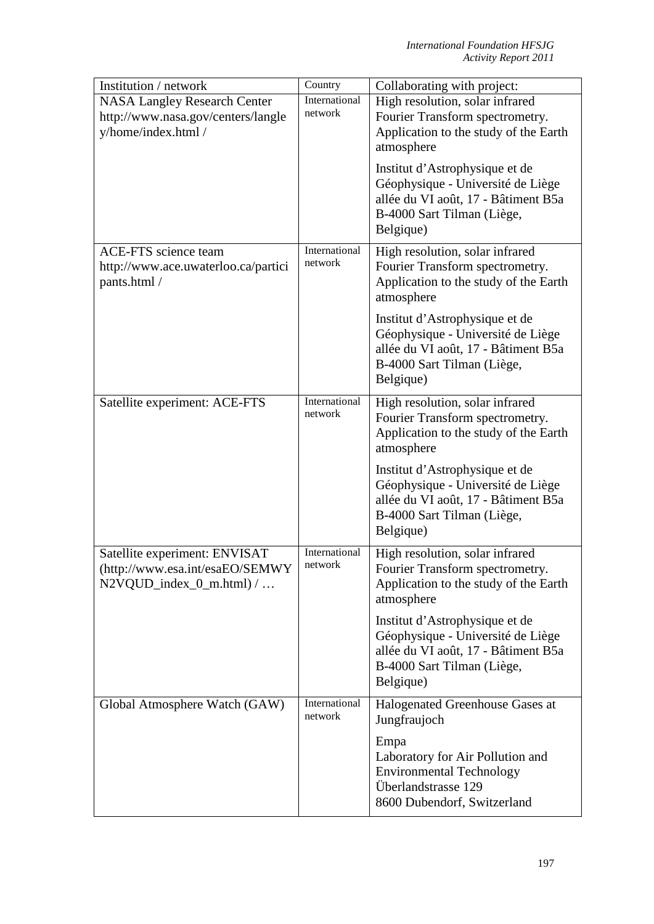| Institution / network                                                                         | Country                  | Collaborating with project:                                                                                                                           |
|-----------------------------------------------------------------------------------------------|--------------------------|-------------------------------------------------------------------------------------------------------------------------------------------------------|
| <b>NASA Langley Research Center</b>                                                           | International            | High resolution, solar infrared                                                                                                                       |
| http://www.nasa.gov/centers/langle                                                            | network                  | Fourier Transform spectrometry.                                                                                                                       |
| y/home/index.html /                                                                           |                          | Application to the study of the Earth                                                                                                                 |
|                                                                                               |                          | atmosphere                                                                                                                                            |
|                                                                                               |                          | Institut d'Astrophysique et de<br>Géophysique - Université de Liège<br>allée du VI août, 17 - Bâtiment B5a<br>B-4000 Sart Tilman (Liège,<br>Belgique) |
| <b>ACE-FTS</b> science team                                                                   | International            | High resolution, solar infrared                                                                                                                       |
| http://www.ace.uwaterloo.ca/partici<br>pants.html /                                           | network                  | Fourier Transform spectrometry.<br>Application to the study of the Earth<br>atmosphere                                                                |
|                                                                                               |                          | Institut d'Astrophysique et de<br>Géophysique - Université de Liège<br>allée du VI août, 17 - Bâtiment B5a<br>B-4000 Sart Tilman (Liège,<br>Belgique) |
| Satellite experiment: ACE-FTS                                                                 | International<br>network | High resolution, solar infrared<br>Fourier Transform spectrometry.<br>Application to the study of the Earth<br>atmosphere                             |
|                                                                                               |                          | Institut d'Astrophysique et de<br>Géophysique - Université de Liège<br>allée du VI août, 17 - Bâtiment B5a<br>B-4000 Sart Tilman (Liège,<br>Belgique) |
| Satellite experiment: ENVISAT<br>(http://www.esa.int/esaEO/SEMWY<br>$N2VQUD_index_0_m.html$ / | International<br>network | High resolution, solar infrared<br>Fourier Transform spectrometry.<br>Application to the study of the Earth<br>atmosphere                             |
|                                                                                               |                          | Institut d'Astrophysique et de<br>Géophysique - Université de Liège<br>allée du VI août, 17 - Bâtiment B5a<br>B-4000 Sart Tilman (Liège,<br>Belgique) |
| Global Atmosphere Watch (GAW)                                                                 | International<br>network | Halogenated Greenhouse Gases at<br>Jungfraujoch                                                                                                       |
|                                                                                               |                          | Empa<br>Laboratory for Air Pollution and<br><b>Environmental Technology</b><br>Überlandstrasse 129<br>8600 Dubendorf, Switzerland                     |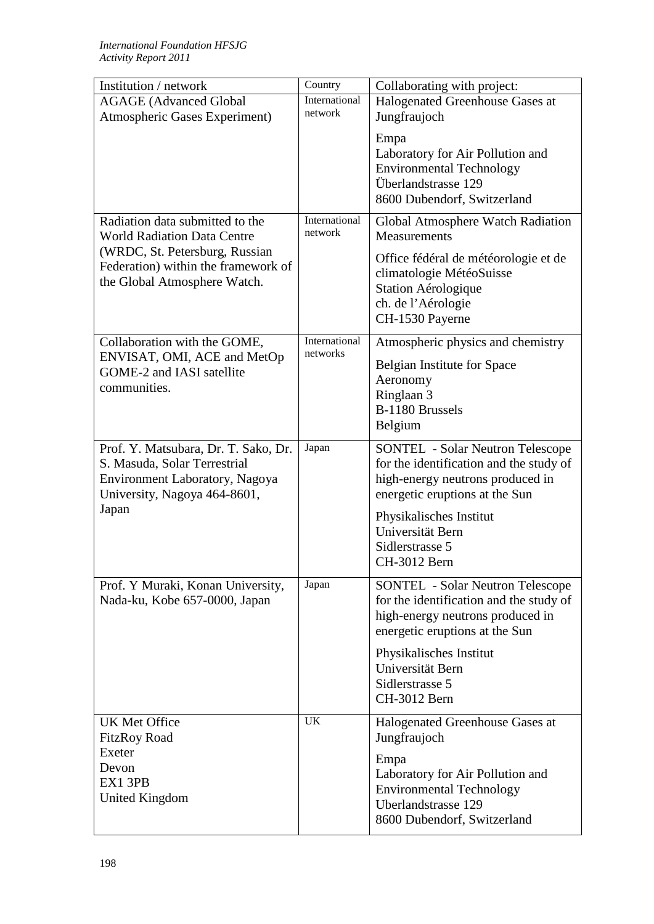| Institution / network                                                                                  | Country                  | Collaborating with project:                                                                                                                              |
|--------------------------------------------------------------------------------------------------------|--------------------------|----------------------------------------------------------------------------------------------------------------------------------------------------------|
| <b>AGAGE</b> (Advanced Global                                                                          | International            | Halogenated Greenhouse Gases at                                                                                                                          |
| Atmospheric Gases Experiment)                                                                          | network                  | Jungfraujoch                                                                                                                                             |
|                                                                                                        |                          | Empa<br>Laboratory for Air Pollution and<br><b>Environmental Technology</b><br>Überlandstrasse 129<br>8600 Dubendorf, Switzerland                        |
| Radiation data submitted to the<br><b>World Radiation Data Centre</b>                                  | International<br>network | Global Atmosphere Watch Radiation<br>Measurements                                                                                                        |
| (WRDC, St. Petersburg, Russian<br>Federation) within the framework of<br>the Global Atmosphere Watch.  |                          | Office fédéral de météorologie et de<br>climatologie MétéoSuisse<br>Station Aérologique<br>ch. de l'Aérologie<br>CH-1530 Payerne                         |
| Collaboration with the GOME,                                                                           | International            | Atmospheric physics and chemistry                                                                                                                        |
| ENVISAT, OMI, ACE and MetOp                                                                            | networks                 | <b>Belgian Institute for Space</b>                                                                                                                       |
| GOME-2 and IASI satellite<br>communities.                                                              |                          | Aeronomy                                                                                                                                                 |
|                                                                                                        |                          | Ringlaan 3                                                                                                                                               |
|                                                                                                        |                          | B-1180 Brussels<br>Belgium                                                                                                                               |
|                                                                                                        |                          |                                                                                                                                                          |
| Prof. Y. Matsubara, Dr. T. Sako, Dr.<br>S. Masuda, Solar Terrestrial<br>Environment Laboratory, Nagoya | Japan                    | <b>SONTEL</b> - Solar Neutron Telescope<br>for the identification and the study of<br>high-energy neutrons produced in                                   |
| University, Nagoya 464-8601,<br>Japan                                                                  |                          | energetic eruptions at the Sun                                                                                                                           |
|                                                                                                        |                          | Physikalisches Institut<br>Universität Bern                                                                                                              |
|                                                                                                        |                          | Sidlerstrasse 5                                                                                                                                          |
|                                                                                                        |                          | CH-3012 Bern                                                                                                                                             |
| Prof. Y Muraki, Konan University,<br>Nada-ku, Kobe 657-0000, Japan                                     | Japan                    | <b>SONTEL</b> - Solar Neutron Telescope<br>for the identification and the study of<br>high-energy neutrons produced in<br>energetic eruptions at the Sun |
|                                                                                                        |                          | Physikalisches Institut<br>Universität Bern<br>Sidlerstrasse 5<br>CH-3012 Bern                                                                           |
| <b>UK Met Office</b><br><b>FitzRoy Road</b>                                                            | <b>UK</b>                | Halogenated Greenhouse Gases at<br>Jungfraujoch                                                                                                          |
| Exeter<br>Devon<br>EX1 3PB<br>United Kingdom                                                           |                          | Empa<br>Laboratory for Air Pollution and<br><b>Environmental Technology</b><br>Uberlandstrasse 129<br>8600 Dubendorf, Switzerland                        |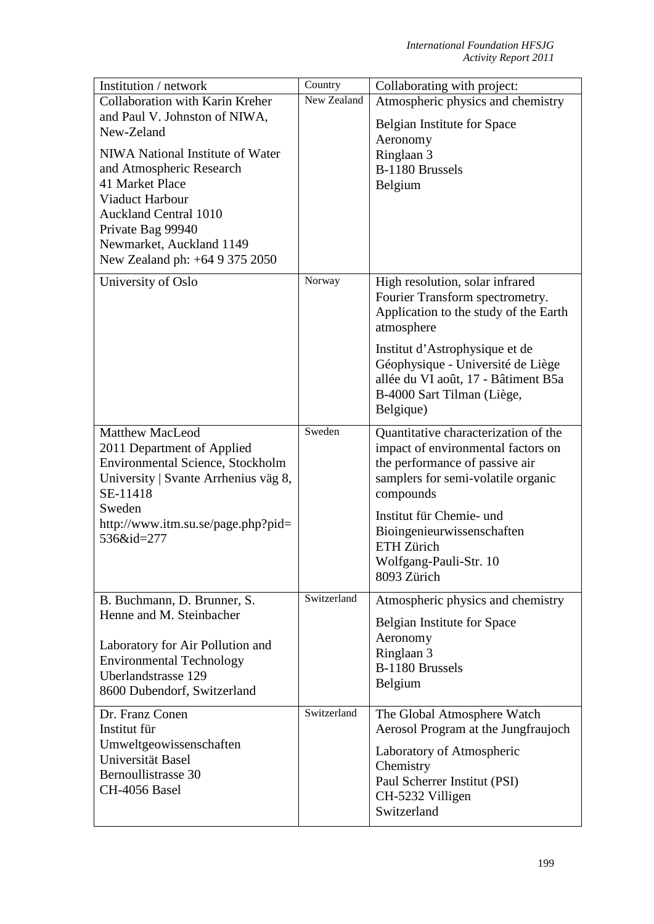| Institution / network                            | Country     | Collaborating with project:                                                                                                                           |
|--------------------------------------------------|-------------|-------------------------------------------------------------------------------------------------------------------------------------------------------|
| Collaboration with Karin Kreher                  | New Zealand | Atmospheric physics and chemistry                                                                                                                     |
| and Paul V. Johnston of NIWA,                    |             | Belgian Institute for Space                                                                                                                           |
| New-Zeland                                       |             | Aeronomy                                                                                                                                              |
| NIWA National Institute of Water                 |             | Ringlaan 3                                                                                                                                            |
| and Atmospheric Research                         |             | B-1180 Brussels                                                                                                                                       |
| 41 Market Place                                  |             | Belgium                                                                                                                                               |
| Viaduct Harbour                                  |             |                                                                                                                                                       |
| <b>Auckland Central 1010</b>                     |             |                                                                                                                                                       |
| Private Bag 99940                                |             |                                                                                                                                                       |
| Newmarket, Auckland 1149                         |             |                                                                                                                                                       |
| New Zealand ph: +64 9 375 2050                   |             |                                                                                                                                                       |
| University of Oslo                               | Norway      | High resolution, solar infrared<br>Fourier Transform spectrometry.<br>Application to the study of the Earth<br>atmosphere                             |
|                                                  |             | Institut d'Astrophysique et de<br>Géophysique - Université de Liège<br>allée du VI août, 17 - Bâtiment B5a<br>B-4000 Sart Tilman (Liège,<br>Belgique) |
| <b>Matthew MacLeod</b>                           | Sweden      | Quantitative characterization of the                                                                                                                  |
| 2011 Department of Applied                       |             | impact of environmental factors on                                                                                                                    |
| Environmental Science, Stockholm                 |             | the performance of passive air                                                                                                                        |
| University   Svante Arrhenius väg 8,             |             | samplers for semi-volatile organic                                                                                                                    |
| SE-11418                                         |             | compounds                                                                                                                                             |
| Sweden                                           |             | Institut für Chemie- und                                                                                                                              |
| http://www.itm.su.se/page.php?pid=<br>536&id=277 |             | Bioingenieurwissenschaften                                                                                                                            |
|                                                  |             | ETH Zürich                                                                                                                                            |
|                                                  |             | Wolfgang-Pauli-Str. 10                                                                                                                                |
|                                                  |             | 8093 Zürich                                                                                                                                           |
| B. Buchmann, D. Brunner, S.                      | Switzerland | Atmospheric physics and chemistry                                                                                                                     |
| Henne and M. Steinbacher                         |             |                                                                                                                                                       |
|                                                  |             | Belgian Institute for Space<br>Aeronomy                                                                                                               |
| Laboratory for Air Pollution and                 |             | Ringlaan 3                                                                                                                                            |
| <b>Environmental Technology</b>                  |             | B-1180 Brussels                                                                                                                                       |
| Uberlandstrasse 129                              |             | Belgium                                                                                                                                               |
| 8600 Dubendorf, Switzerland                      |             |                                                                                                                                                       |
| Dr. Franz Conen                                  | Switzerland | The Global Atmosphere Watch                                                                                                                           |
| Institut für                                     |             | Aerosol Program at the Jungfraujoch                                                                                                                   |
| Umweltgeowissenschaften                          |             | Laboratory of Atmospheric                                                                                                                             |
| Universität Basel                                |             | Chemistry                                                                                                                                             |
| Bernoullistrasse 30                              |             | Paul Scherrer Institut (PSI)                                                                                                                          |
| CH-4056 Basel                                    |             | CH-5232 Villigen                                                                                                                                      |
|                                                  |             | Switzerland                                                                                                                                           |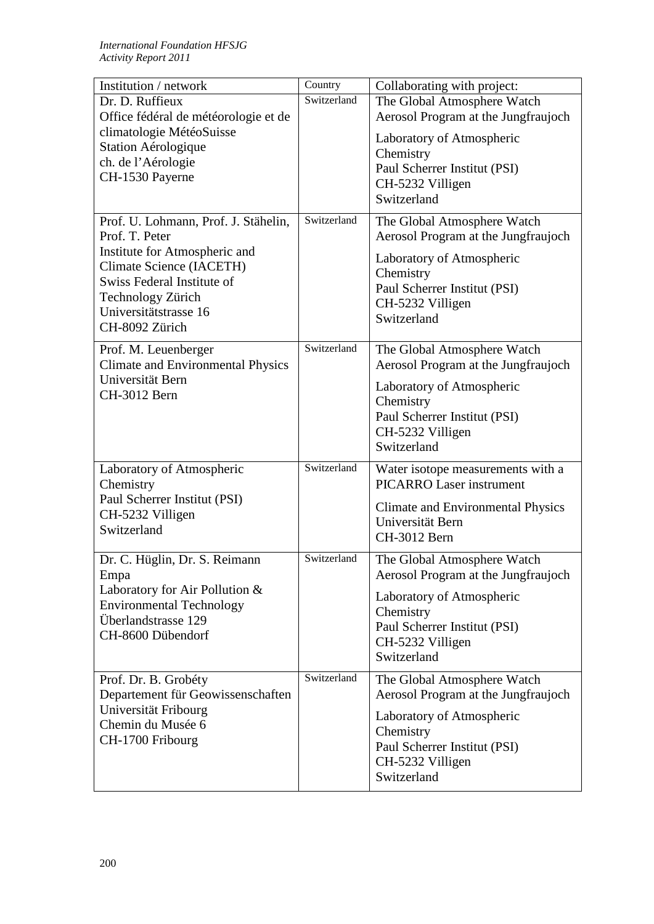| Institution / network                                        | Country     | Collaborating with project:                                        |
|--------------------------------------------------------------|-------------|--------------------------------------------------------------------|
| Dr. D. Ruffieux                                              | Switzerland | The Global Atmosphere Watch                                        |
| Office fédéral de météorologie et de                         |             | Aerosol Program at the Jungfraujoch                                |
| climatologie MétéoSuisse                                     |             | Laboratory of Atmospheric                                          |
| Station Aérologique                                          |             | Chemistry                                                          |
| ch. de l'Aérologie                                           |             | Paul Scherrer Institut (PSI)                                       |
| CH-1530 Payerne                                              |             | CH-5232 Villigen                                                   |
|                                                              |             | Switzerland                                                        |
|                                                              |             |                                                                    |
| Prof. U. Lohmann, Prof. J. Stähelin,                         | Switzerland | The Global Atmosphere Watch                                        |
| Prof. T. Peter                                               |             | Aerosol Program at the Jungfraujoch                                |
| Institute for Atmospheric and<br>Climate Science (IACETH)    |             | Laboratory of Atmospheric                                          |
| Swiss Federal Institute of                                   |             | Chemistry                                                          |
| Technology Zürich                                            |             | Paul Scherrer Institut (PSI)                                       |
| Universitätstrasse 16                                        |             | CH-5232 Villigen                                                   |
| CH-8092 Zürich                                               |             | Switzerland                                                        |
|                                                              |             |                                                                    |
| Prof. M. Leuenberger                                         | Switzerland | The Global Atmosphere Watch                                        |
| <b>Climate and Environmental Physics</b><br>Universität Bern |             | Aerosol Program at the Jungfraujoch                                |
| CH-3012 Bern                                                 |             | Laboratory of Atmospheric                                          |
|                                                              |             | Chemistry                                                          |
|                                                              |             | Paul Scherrer Institut (PSI)                                       |
|                                                              |             | CH-5232 Villigen                                                   |
|                                                              |             | Switzerland                                                        |
| Laboratory of Atmospheric                                    | Switzerland | Water isotope measurements with a                                  |
| Chemistry                                                    |             | <b>PICARRO Laser instrument</b>                                    |
| Paul Scherrer Institut (PSI)                                 |             | <b>Climate and Environmental Physics</b>                           |
| CH-5232 Villigen                                             |             | Universität Bern                                                   |
| Switzerland                                                  |             | CH-3012 Bern                                                       |
|                                                              | Switzerland |                                                                    |
| Dr. C. Hüglin, Dr. S. Reimann<br>Empa                        |             | The Global Atmosphere Watch<br>Aerosol Program at the Jungfraujoch |
| Laboratory for Air Pollution &                               |             |                                                                    |
| <b>Environmental Technology</b>                              |             | Laboratory of Atmospheric                                          |
| Überlandstrasse 129                                          |             | Chemistry                                                          |
| CH-8600 Dübendorf                                            |             | Paul Scherrer Institut (PSI)                                       |
|                                                              |             | CH-5232 Villigen<br>Switzerland                                    |
|                                                              |             |                                                                    |
| Prof. Dr. B. Grobéty                                         | Switzerland | The Global Atmosphere Watch                                        |
| Departement für Geowissenschaften                            |             | Aerosol Program at the Jungfraujoch                                |
| Universität Fribourg                                         |             | Laboratory of Atmospheric                                          |
| Chemin du Musée 6                                            |             | Chemistry                                                          |
| CH-1700 Fribourg                                             |             | Paul Scherrer Institut (PSI)                                       |
|                                                              |             | CH-5232 Villigen                                                   |
|                                                              |             | Switzerland                                                        |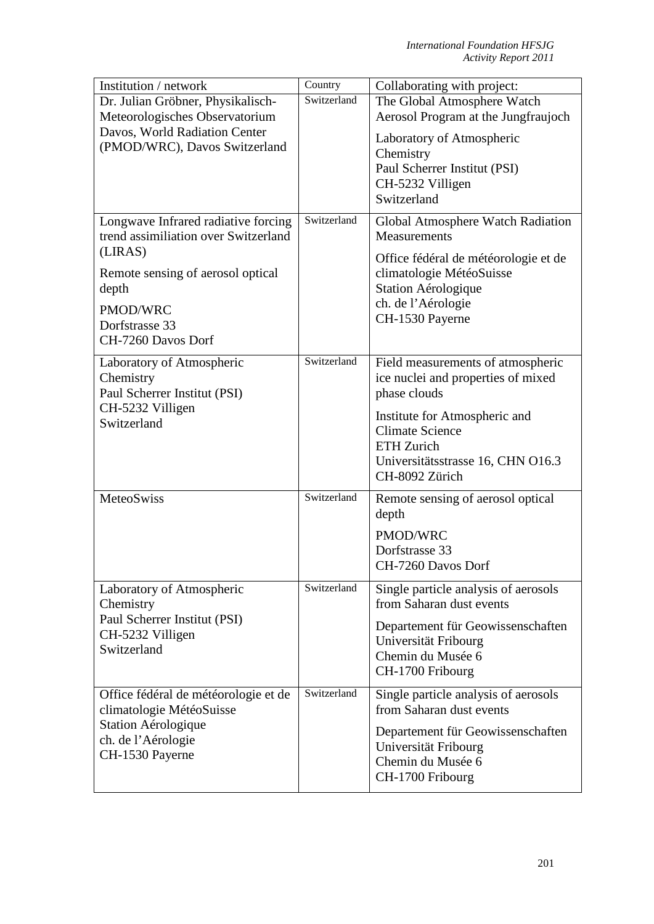| Institution / network                                                                                                            | Country     | Collaborating with project:                                                                                                                        |
|----------------------------------------------------------------------------------------------------------------------------------|-------------|----------------------------------------------------------------------------------------------------------------------------------------------------|
| Dr. Julian Gröbner, Physikalisch-                                                                                                | Switzerland | The Global Atmosphere Watch                                                                                                                        |
| Meteorologisches Observatorium                                                                                                   |             | Aerosol Program at the Jungfraujoch                                                                                                                |
| Davos, World Radiation Center<br>(PMOD/WRC), Davos Switzerland                                                                   |             | Laboratory of Atmospheric<br>Chemistry<br>Paul Scherrer Institut (PSI)<br>CH-5232 Villigen<br>Switzerland                                          |
| Longwave Infrared radiative forcing<br>trend assimiliation over Switzerland                                                      | Switzerland | Global Atmosphere Watch Radiation<br>Measurements                                                                                                  |
| (LIRAS)<br>Remote sensing of aerosol optical<br>depth                                                                            |             | Office fédéral de météorologie et de<br>climatologie MétéoSuisse<br>Station Aérologique<br>ch. de l'Aérologie                                      |
| PMOD/WRC<br>Dorfstrasse 33<br>CH-7260 Davos Dorf                                                                                 |             | CH-1530 Payerne                                                                                                                                    |
| Laboratory of Atmospheric<br>Chemistry<br>Paul Scherrer Institut (PSI)                                                           | Switzerland | Field measurements of atmospheric<br>ice nuclei and properties of mixed<br>phase clouds                                                            |
| CH-5232 Villigen<br>Switzerland                                                                                                  |             | Institute for Atmospheric and<br><b>Climate Science</b><br>ETH Zurich<br>Universitätsstrasse 16, CHN O16.3<br>CH-8092 Zürich                       |
| MeteoSwiss                                                                                                                       | Switzerland | Remote sensing of aerosol optical<br>depth                                                                                                         |
|                                                                                                                                  |             | PMOD/WRC<br>Dorfstrasse 33                                                                                                                         |
| Laboratory of Atmospheric<br>Chemistry                                                                                           | Switzerland | CH-7260 Davos Dorf<br>Single particle analysis of aerosols<br>from Saharan dust events                                                             |
| Paul Scherrer Institut (PSI)<br>CH-5232 Villigen<br>Switzerland                                                                  |             | Departement für Geowissenschaften<br>Universität Fribourg<br>Chemin du Musée 6<br>CH-1700 Fribourg                                                 |
| Office fédéral de météorologie et de<br>climatologie MétéoSuisse<br>Station Aérologique<br>ch. de l'Aérologie<br>CH-1530 Payerne | Switzerland | Single particle analysis of aerosols<br>from Saharan dust events<br>Departement für Geowissenschaften<br>Universität Fribourg<br>Chemin du Musée 6 |
|                                                                                                                                  |             | CH-1700 Fribourg                                                                                                                                   |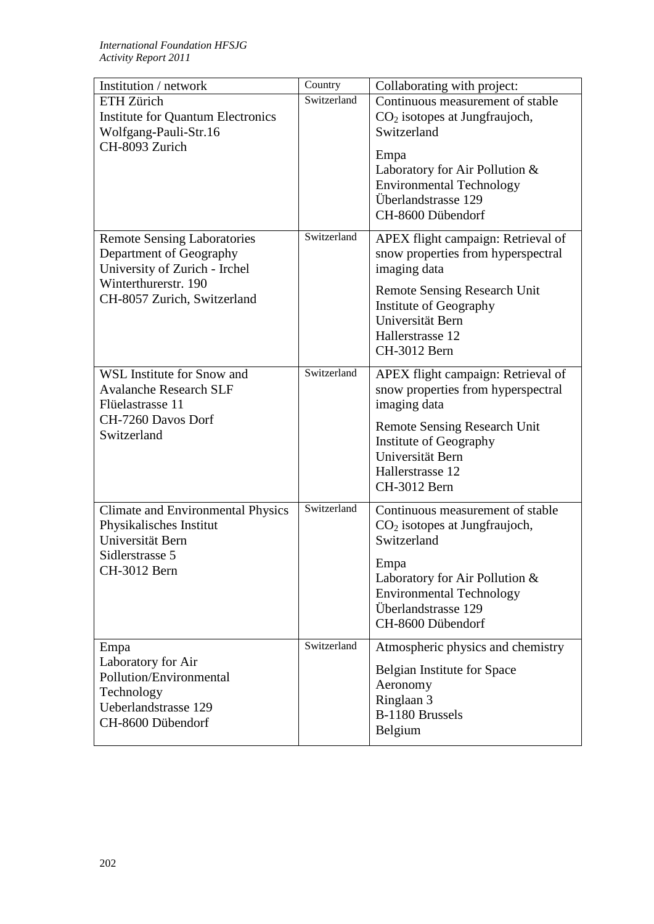| Institution / network                                                                                                                                 | Country     | Collaborating with project:                                                                                                                                                                                           |
|-------------------------------------------------------------------------------------------------------------------------------------------------------|-------------|-----------------------------------------------------------------------------------------------------------------------------------------------------------------------------------------------------------------------|
| <b>ETH Zürich</b><br><b>Institute for Quantum Electronics</b><br>Wolfgang-Pauli-Str.16<br>CH-8093 Zurich                                              | Switzerland | Continuous measurement of stable<br>$CO2$ isotopes at Jungfraujoch,<br>Switzerland<br>Empa<br>Laboratory for Air Pollution &<br><b>Environmental Technology</b><br>Überlandstrasse 129<br>CH-8600 Dübendorf           |
| <b>Remote Sensing Laboratories</b><br>Department of Geography<br>University of Zurich - Irchel<br>Winterthurerstr. 190<br>CH-8057 Zurich, Switzerland | Switzerland | APEX flight campaign: Retrieval of<br>snow properties from hyperspectral<br>imaging data<br><b>Remote Sensing Research Unit</b><br>Institute of Geography<br>Universität Bern<br>Hallerstrasse 12<br>CH-3012 Bern     |
| WSL Institute for Snow and<br><b>Avalanche Research SLF</b><br>Flüelastrasse 11<br>CH-7260 Davos Dorf<br>Switzerland                                  | Switzerland | APEX flight campaign: Retrieval of<br>snow properties from hyperspectral<br>imaging data<br><b>Remote Sensing Research Unit</b><br>Institute of Geography<br>Universität Bern<br>Hallerstrasse 12<br>CH-3012 Bern     |
| <b>Climate and Environmental Physics</b><br>Physikalisches Institut<br>Universität Bern<br>Sidlerstrasse 5<br>CH-3012 Bern                            | Switzerland | Continuous measurement of stable<br>CO <sub>2</sub> isotopes at Jungfraujoch,<br>Switzerland<br>Empa<br>Laboratory for Air Pollution &<br><b>Environmental Technology</b><br>Überlandstrasse 129<br>CH-8600 Dübendorf |
| Empa<br>Laboratory for Air<br>Pollution/Environmental<br>Technology<br>Ueberlandstrasse 129<br>CH-8600 Dübendorf                                      | Switzerland | Atmospheric physics and chemistry<br>Belgian Institute for Space<br>Aeronomy<br>Ringlaan 3<br>B-1180 Brussels<br>Belgium                                                                                              |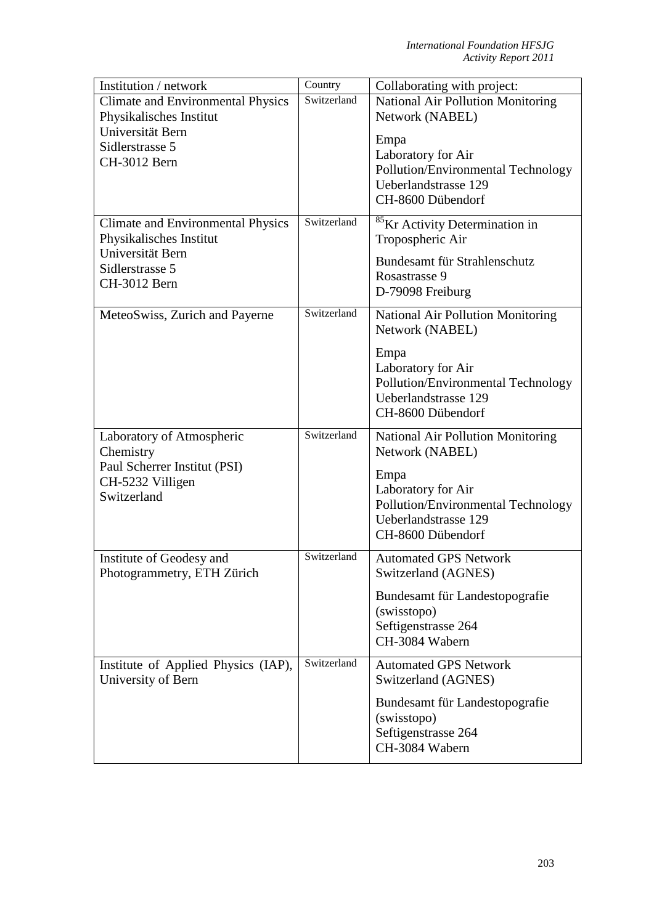| Institution / network                    | Country     | Collaborating with project:                         |
|------------------------------------------|-------------|-----------------------------------------------------|
| <b>Climate and Environmental Physics</b> | Switzerland | National Air Pollution Monitoring                   |
| Physikalisches Institut                  |             | Network (NABEL)                                     |
| Universität Bern                         |             | Empa                                                |
| Sidlerstrasse 5                          |             | Laboratory for Air                                  |
| CH-3012 Bern                             |             | Pollution/Environmental Technology                  |
|                                          |             | Ueberlandstrasse 129                                |
|                                          |             | CH-8600 Dübendorf                                   |
|                                          | Switzerland |                                                     |
| <b>Climate and Environmental Physics</b> |             | <sup>85</sup> Kr Activity Determination in          |
| Physikalisches Institut                  |             | Tropospheric Air                                    |
| Universität Bern                         |             | Bundesamt für Strahlenschutz                        |
| Sidlerstrasse 5<br>CH-3012 Bern          |             | Rosastrasse 9                                       |
|                                          |             | D-79098 Freiburg                                    |
| MeteoSwiss, Zurich and Payerne           | Switzerland | National Air Pollution Monitoring                   |
|                                          |             | Network (NABEL)                                     |
|                                          |             |                                                     |
|                                          |             | Empa                                                |
|                                          |             | Laboratory for Air                                  |
|                                          |             | Pollution/Environmental Technology                  |
|                                          |             | Ueberlandstrasse 129                                |
|                                          |             | CH-8600 Dübendorf                                   |
| Laboratory of Atmospheric                | Switzerland | <b>National Air Pollution Monitoring</b>            |
| Chemistry                                |             | Network (NABEL)                                     |
| Paul Scherrer Institut (PSI)             |             | Empa                                                |
| CH-5232 Villigen                         |             | Laboratory for Air                                  |
| Switzerland                              |             | Pollution/Environmental Technology                  |
|                                          |             | Ueberlandstrasse 129                                |
|                                          |             | CH-8600 Dübendorf                                   |
|                                          | Switzerland |                                                     |
| Institute of Geodesy and                 |             | <b>Automated GPS Network</b><br>Switzerland (AGNES) |
| Photogrammetry, ETH Zürich               |             |                                                     |
|                                          |             | Bundesamt für Landestopografie                      |
|                                          |             | (swisstopo)                                         |
|                                          |             | Seftigenstrasse 264                                 |
|                                          |             | CH-3084 Wabern                                      |
| Institute of Applied Physics (IAP),      | Switzerland | <b>Automated GPS Network</b>                        |
| University of Bern                       |             | Switzerland (AGNES)                                 |
|                                          |             | Bundesamt für Landestopografie                      |
|                                          |             | (swisstopo)                                         |
|                                          |             | Seftigenstrasse 264                                 |
|                                          |             | CH-3084 Wabern                                      |
|                                          |             |                                                     |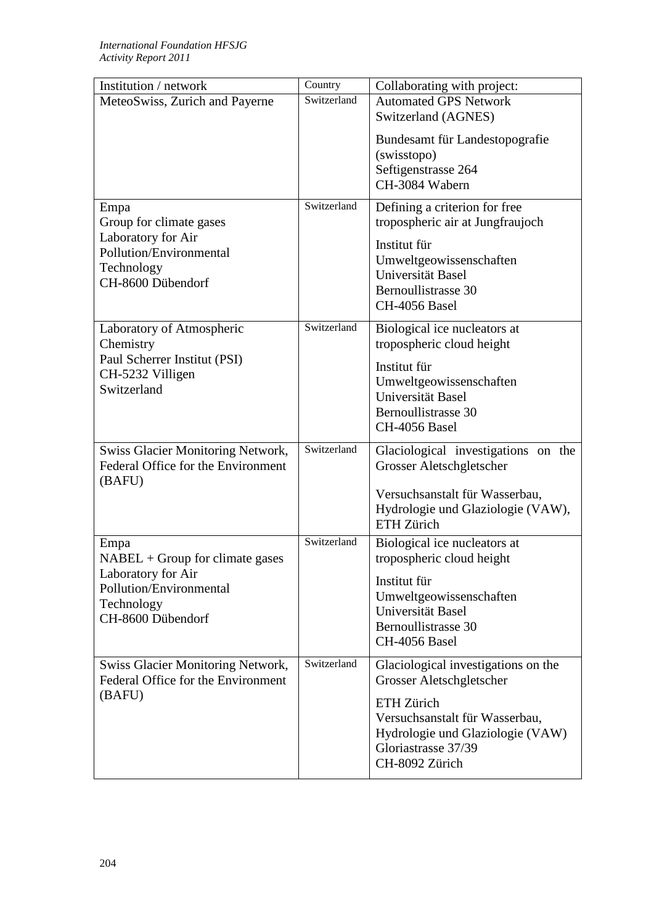| Institution / network                                                          | Country     | Collaborating with project:                                     |
|--------------------------------------------------------------------------------|-------------|-----------------------------------------------------------------|
| MeteoSwiss, Zurich and Payerne                                                 | Switzerland | <b>Automated GPS Network</b>                                    |
|                                                                                |             | Switzerland (AGNES)                                             |
|                                                                                |             | Bundesamt für Landestopografie                                  |
|                                                                                |             | (swisstopo)                                                     |
|                                                                                |             | Seftigenstrasse 264                                             |
|                                                                                |             | CH-3084 Wabern                                                  |
| Empa                                                                           | Switzerland | Defining a criterion for free                                   |
| Group for climate gases                                                        |             | tropospheric air at Jungfraujoch                                |
| Laboratory for Air                                                             |             | Institut für                                                    |
| Pollution/Environmental                                                        |             | Umweltgeowissenschaften                                         |
| Technology                                                                     |             | Universität Basel                                               |
| CH-8600 Dübendorf                                                              |             | Bernoullistrasse 30                                             |
|                                                                                |             | CH-4056 Basel                                                   |
|                                                                                | Switzerland |                                                                 |
| Laboratory of Atmospheric<br>Chemistry                                         |             | Biological ice nucleators at<br>tropospheric cloud height       |
| Paul Scherrer Institut (PSI)                                                   |             |                                                                 |
| CH-5232 Villigen                                                               |             | Institut für                                                    |
| Switzerland                                                                    |             | Umweltgeowissenschaften                                         |
|                                                                                |             | Universität Basel                                               |
|                                                                                |             | Bernoullistrasse 30<br>CH-4056 Basel                            |
|                                                                                |             |                                                                 |
| <b>Swiss Glacier Monitoring Network,</b>                                       | Switzerland | Glaciological investigations on the                             |
| Federal Office for the Environment                                             |             | Grosser Aletschgletscher                                        |
| (BAFU)                                                                         |             | Versuchsanstalt für Wasserbau,                                  |
|                                                                                |             | Hydrologie und Glaziologie (VAW),                               |
|                                                                                |             | ETH Zürich                                                      |
| Empa                                                                           | Switzerland | Biological ice nucleators at                                    |
| $NABEL + Group for climate gases$                                              |             | tropospheric cloud height                                       |
| Laboratory for Air                                                             |             |                                                                 |
| Pollution/Environmental                                                        |             | Institut für<br>Umweltgeowissenschaften                         |
| Technology                                                                     |             | Universität Basel                                               |
| CH-8600 Dübendorf                                                              |             | Bernoullistrasse 30                                             |
|                                                                                |             | CH-4056 Basel                                                   |
|                                                                                | Switzerland |                                                                 |
| <b>Swiss Glacier Monitoring Network,</b><br>Federal Office for the Environment |             | Glaciological investigations on the<br>Grosser Aletschgletscher |
| (BAFU)                                                                         |             |                                                                 |
|                                                                                |             | ETH Zürich                                                      |
|                                                                                |             | Versuchsanstalt für Wasserbau,                                  |
|                                                                                |             | Hydrologie und Glaziologie (VAW)<br>Gloriastrasse 37/39         |
|                                                                                |             | CH-8092 Zürich                                                  |
|                                                                                |             |                                                                 |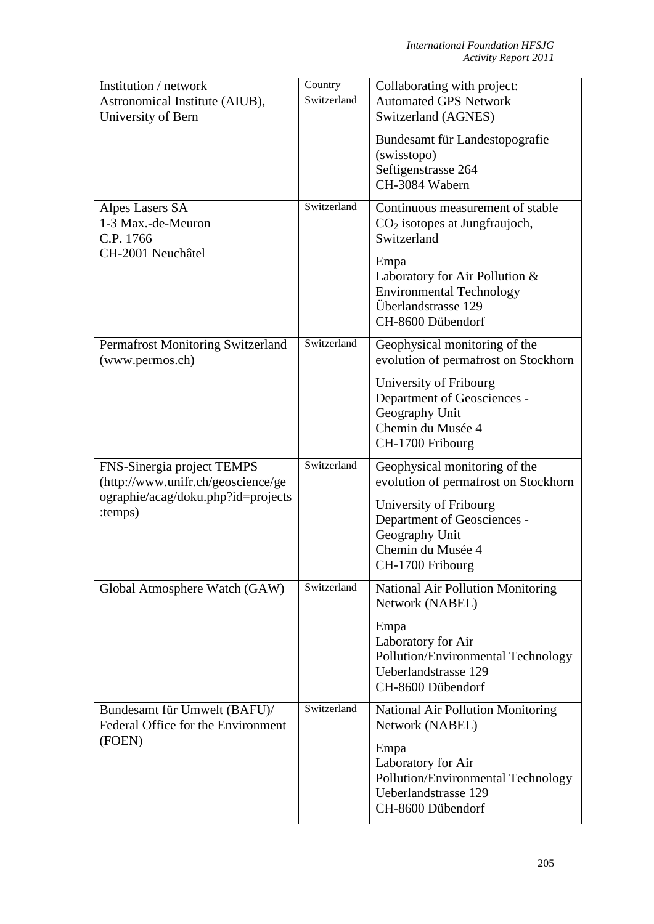| Institution / network                                                   | Country     | Collaborating with project:                                                                                                                                                                                 |
|-------------------------------------------------------------------------|-------------|-------------------------------------------------------------------------------------------------------------------------------------------------------------------------------------------------------------|
| Astronomical Institute (AIUB),                                          | Switzerland | <b>Automated GPS Network</b>                                                                                                                                                                                |
| University of Bern                                                      |             | Switzerland (AGNES)                                                                                                                                                                                         |
|                                                                         |             | Bundesamt für Landestopografie<br>(swisstopo)<br>Seftigenstrasse 264<br>CH-3084 Wabern                                                                                                                      |
| Alpes Lasers SA<br>1-3 Max.-de-Meuron<br>C.P. 1766<br>CH-2001 Neuchâtel | Switzerland | Continuous measurement of stable<br>$CO2$ isotopes at Jungfraujoch,<br>Switzerland<br>Empa<br>Laboratory for Air Pollution &<br><b>Environmental Technology</b><br>Überlandstrasse 129<br>CH-8600 Dübendorf |
| Permafrost Monitoring Switzerland<br>(www.permos.ch)                    | Switzerland | Geophysical monitoring of the<br>evolution of permafrost on Stockhorn                                                                                                                                       |
|                                                                         |             | University of Fribourg<br>Department of Geosciences -<br>Geography Unit<br>Chemin du Musée 4<br>CH-1700 Fribourg                                                                                            |
| FNS-Sinergia project TEMPS<br>(http://www.unifr.ch/geoscience/ge        | Switzerland | Geophysical monitoring of the<br>evolution of permafrost on Stockhorn                                                                                                                                       |
| ographie/acag/doku.php?id=projects<br>:temps)                           |             | University of Fribourg<br>Department of Geosciences -<br>Geography Unit<br>Chemin du Musée 4<br>CH-1700 Fribourg                                                                                            |
| Global Atmosphere Watch (GAW)                                           | Switzerland | National Air Pollution Monitoring<br>Network (NABEL)                                                                                                                                                        |
|                                                                         |             | Empa<br>Laboratory for Air<br>Pollution/Environmental Technology<br>Ueberlandstrasse 129<br>CH-8600 Dübendorf                                                                                               |
| Bundesamt für Umwelt (BAFU)/<br>Federal Office for the Environment      | Switzerland | <b>National Air Pollution Monitoring</b><br>Network (NABEL)                                                                                                                                                 |
| (FOEN)                                                                  |             | Empa<br>Laboratory for Air<br>Pollution/Environmental Technology<br>Ueberlandstrasse 129<br>CH-8600 Dübendorf                                                                                               |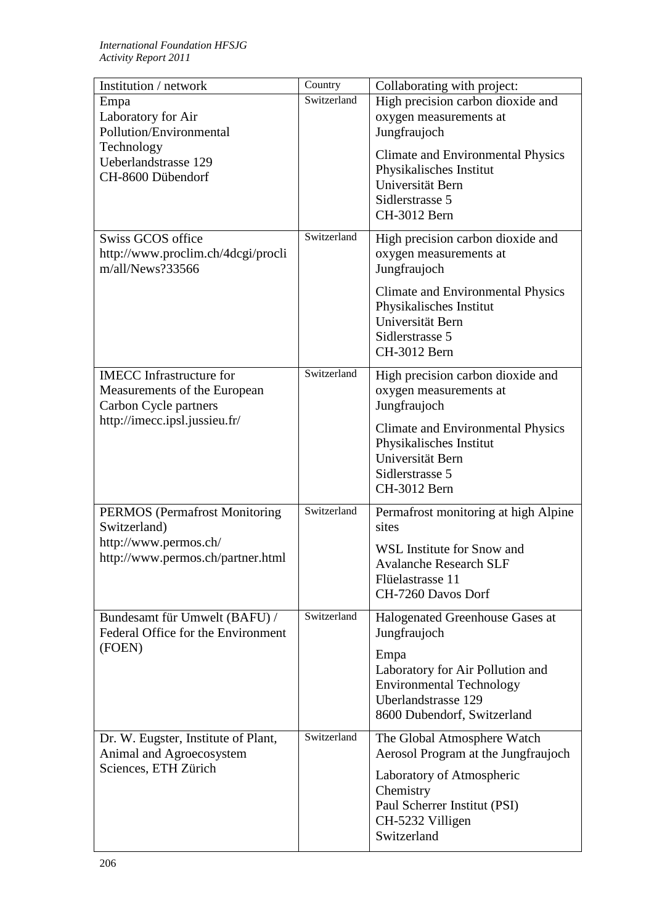| Institution / network                | Country     | Collaborating with project:              |
|--------------------------------------|-------------|------------------------------------------|
| Empa                                 | Switzerland | High precision carbon dioxide and        |
| Laboratory for Air                   |             | oxygen measurements at                   |
| Pollution/Environmental              |             | Jungfraujoch                             |
| Technology                           |             |                                          |
| Ueberlandstrasse 129                 |             | <b>Climate and Environmental Physics</b> |
| CH-8600 Dübendorf                    |             | Physikalisches Institut                  |
|                                      |             | Universität Bern                         |
|                                      |             | Sidlerstrasse 5                          |
|                                      |             | CH-3012 Bern                             |
| Swiss GCOS office                    | Switzerland | High precision carbon dioxide and        |
| http://www.proclim.ch/4dcgi/procli   |             | oxygen measurements at                   |
| m/all/News?33566                     |             | Jungfraujoch                             |
|                                      |             |                                          |
|                                      |             | <b>Climate and Environmental Physics</b> |
|                                      |             | Physikalisches Institut                  |
|                                      |             | Universität Bern                         |
|                                      |             | Sidlerstrasse 5                          |
|                                      |             | CH-3012 Bern                             |
| <b>IMECC</b> Infrastructure for      | Switzerland | High precision carbon dioxide and        |
| Measurements of the European         |             | oxygen measurements at                   |
| Carbon Cycle partners                |             | Jungfraujoch                             |
| http://imecc.ipsl.jussieu.fr/        |             |                                          |
|                                      |             | <b>Climate and Environmental Physics</b> |
|                                      |             | Physikalisches Institut                  |
|                                      |             | Universität Bern                         |
|                                      |             | Sidlerstrasse 5                          |
|                                      |             | CH-3012 Bern                             |
| <b>PERMOS</b> (Permafrost Monitoring | Switzerland | Permafrost monitoring at high Alpine     |
| Switzerland)                         |             | sites                                    |
| http://www.permos.ch/                |             | WSL Institute for Snow and               |
| http://www.permos.ch/partner.html    |             | <b>Avalanche Research SLF</b>            |
|                                      |             | Flüelastrasse 11                         |
|                                      |             | CH-7260 Davos Dorf                       |
|                                      |             |                                          |
| Bundesamt für Umwelt (BAFU) /        | Switzerland | Halogenated Greenhouse Gases at          |
| Federal Office for the Environment   |             | Jungfraujoch                             |
| (FOEN)                               |             | Empa                                     |
|                                      |             | Laboratory for Air Pollution and         |
|                                      |             | <b>Environmental Technology</b>          |
|                                      |             | <b>Uberlandstrasse 129</b>               |
|                                      |             | 8600 Dubendorf, Switzerland              |
|                                      |             |                                          |
| Dr. W. Eugster, Institute of Plant,  | Switzerland | The Global Atmosphere Watch              |
| Animal and Agroecosystem             |             | Aerosol Program at the Jungfraujoch      |
| Sciences, ETH Zürich                 |             | Laboratory of Atmospheric                |
|                                      |             | Chemistry                                |
|                                      |             | Paul Scherrer Institut (PSI)             |
|                                      |             | CH-5232 Villigen                         |
|                                      |             | Switzerland                              |
|                                      |             |                                          |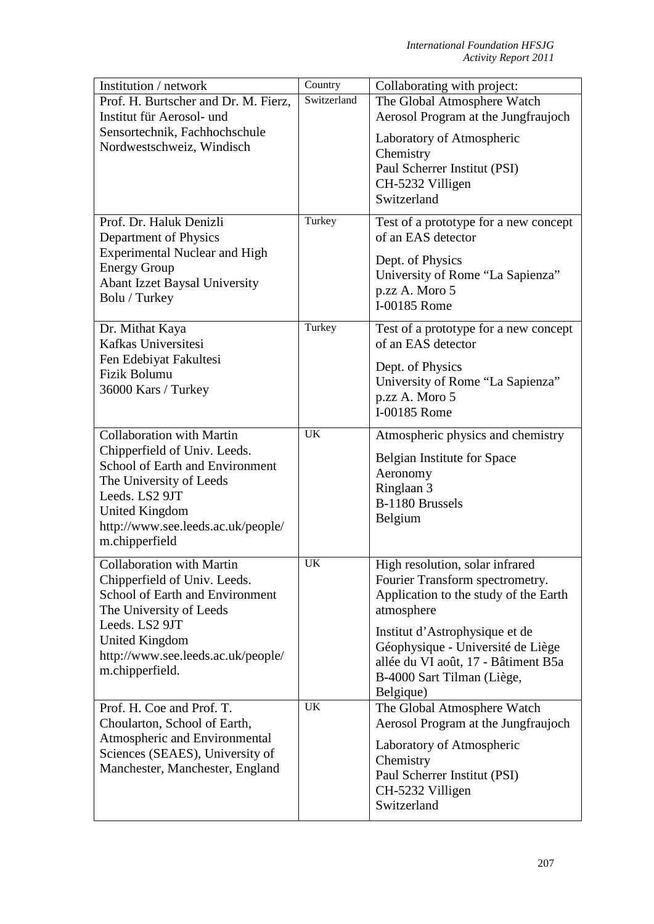| Institution / network                  | Country     | Collaborating with project:            |
|----------------------------------------|-------------|----------------------------------------|
| Prof. H. Burtscher and Dr. M. Fierz,   | Switzerland | The Global Atmosphere Watch            |
| Institut für Aerosol- und              |             | Aerosol Program at the Jungfraujoch    |
| Sensortechnik, Fachhochschule          |             | Laboratory of Atmospheric              |
| Nordwestschweiz, Windisch              |             | Chemistry                              |
|                                        |             | Paul Scherrer Institut (PSI)           |
|                                        |             | CH-5232 Villigen                       |
|                                        |             | Switzerland                            |
|                                        |             |                                        |
| Prof. Dr. Haluk Denizli                | Turkey      | Test of a prototype for a new concept  |
| Department of Physics                  |             | of an EAS detector                     |
| <b>Experimental Nuclear and High</b>   |             | Dept. of Physics                       |
| <b>Energy Group</b>                    |             | University of Rome "La Sapienza"       |
| <b>Abant Izzet Baysal University</b>   |             | p.zz A. Moro 5                         |
| Bolu / Turkey                          |             | I-00185 Rome                           |
| Dr. Mithat Kaya                        | Turkey      | Test of a prototype for a new concept  |
| Kafkas Universitesi                    |             | of an EAS detector                     |
| Fen Edebiyat Fakultesi                 |             |                                        |
| Fizik Bolumu                           |             | Dept. of Physics                       |
| 36000 Kars / Turkey                    |             | University of Rome "La Sapienza"       |
|                                        |             | p.zz A. Moro 5                         |
|                                        |             | I-00185 Rome                           |
| <b>Collaboration with Martin</b>       | <b>UK</b>   | Atmospheric physics and chemistry      |
| Chipperfield of Univ. Leeds.           |             | <b>Belgian Institute for Space</b>     |
| <b>School of Earth and Environment</b> |             | Aeronomy                               |
| The University of Leeds                |             | Ringlaan 3                             |
| Leeds. LS2 9JT                         |             | B-1180 Brussels                        |
| <b>United Kingdom</b>                  |             | Belgium                                |
| http://www.see.leeds.ac.uk/people/     |             |                                        |
| m.chipperfield                         |             |                                        |
| Collaboration with Martin              | <b>UK</b>   | High resolution, solar infrared        |
| Chipperfield of Univ. Leeds.           |             | Fourier Transform spectrometry.        |
| School of Earth and Environment        |             | Application to the study of the Earth  |
| The University of Leeds                |             | atmosphere                             |
| Leeds. LS2 9JT                         |             | Institut d'Astrophysique et de         |
| United Kingdom                         |             | Géophysique - Université de Liège      |
| http://www.see.leeds.ac.uk/people/     |             | allée du VI août, 17 - Bâtiment B5a    |
| m.chipperfield.                        |             | B-4000 Sart Tilman (Liège,             |
|                                        |             | Belgique)                              |
| Prof. H. Coe and Prof. T.              | <b>UK</b>   | The Global Atmosphere Watch            |
| Choularton, School of Earth,           |             | Aerosol Program at the Jungfraujoch    |
| Atmospheric and Environmental          |             |                                        |
| Sciences (SEAES), University of        |             | Laboratory of Atmospheric<br>Chemistry |
| Manchester, Manchester, England        |             | Paul Scherrer Institut (PSI)           |
|                                        |             | CH-5232 Villigen                       |
|                                        |             | Switzerland                            |
|                                        |             |                                        |